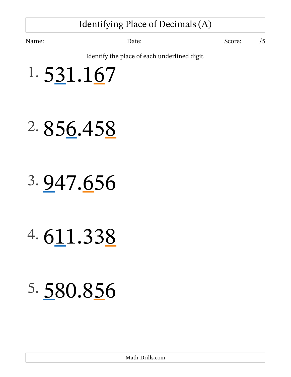### Identifying Place of Decimals (A)

Name: Date: Date: Score: /5

Identify the place of each underlined digit.

1. 531.167

- 2. 856.458
- 3. 947.656
- 4. 611.338
- 5. 580.856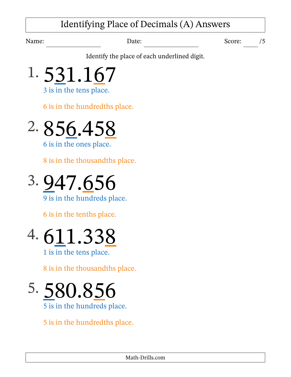### Identifying Place of Decimals (A) Answers

Name: Date: Date: Score: /5

Identify the place of each underlined digit.



3 is in the tens place.

6 is in the hundredths place.

2. 856.458 6 is in the ones place.

8 is in the thousandths place.



9 is in the hundreds place.

6 is in the tenths place.

# 4. 611.338

1 is in the tens place.

8 is in the thousandths place.

5. 580.856 5 is in the hundreds place.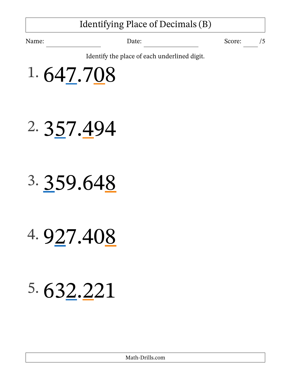### Identifying Place of Decimals (B)

Name: Date: Date: Score: /5

Identify the place of each underlined digit.

1. 647.708

- 2. 357.494
- 3. 359.648
- 4. 927.408

### 5. 632.221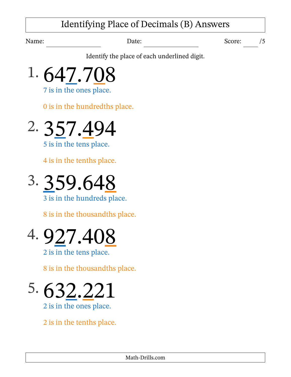### Identifying Place of Decimals (B) Answers

Name: Date: Date: Score: /5

Identify the place of each underlined digit.

1. 647.708

7 is in the ones place.

0 is in the hundredths place.

2. 357.494

5 is in the tens place.

4 is in the tenths place.



3 is in the hundreds place.

8 is in the thousandths place.

# 4. 927.408

2 is in the tens place.

8 is in the thousandths place.

5. 632.221 2 is in the ones place.

2 is in the tenths place.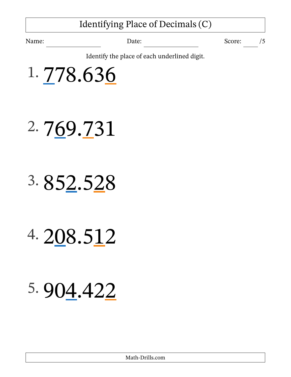### Identifying Place of Decimals (C)

Name: Date: Date: Score: /5

Identify the place of each underlined digit.

1. 778.636

- 2. 769.731
- 3. 852.528
- 4. 208.512
- 5. 904.422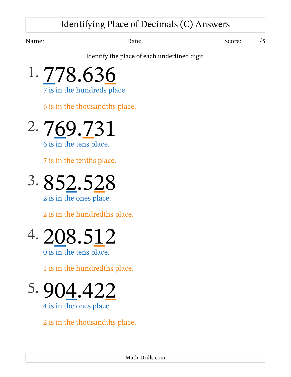### Identifying Place of Decimals (C) Answers

Name: Date: Date: Score: /5

Identify the place of each underlined digit.



6 is in the thousandths place.

2. 769.731

6 is in the tens place.

7 is in the tenths place.



2 is in the ones place.

2 is in the hundredths place.



0 is in the tens place.

1 is in the hundredths place.

5.  $9(14.422)$ 4 is in the ones place.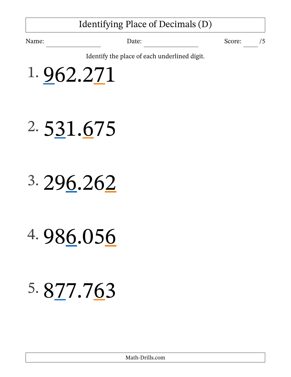### Identifying Place of Decimals (D)

Name: Date: Date: Score: /5

Identify the place of each underlined digit.

1. 962.271

- 2. 531.675
- 3. 296.262
- 4. 986.056
- 5. 877.763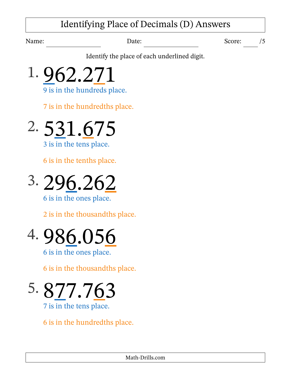### Identifying Place of Decimals (D) Answers

Name: Date: Date: Score: /5

Identify the place of each underlined digit.

1. 962.271 9 is in the hundreds place.

7 is in the hundredths place.

2. 531.675 3 is in the tens place.

6 is in the tenths place.



6 is in the ones place.

2 is in the thousandths place.

# 4. 986.056

6 is in the ones place.

6 is in the thousandths place.

5. 877.763 7 is in the tens place.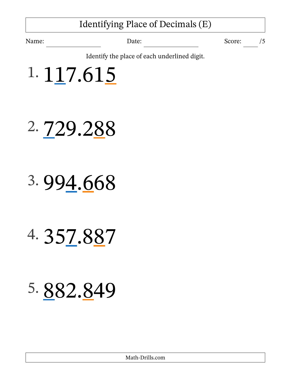### Identifying Place of Decimals (E)

Name: Date: Date: Score: /5

Identify the place of each underlined digit.



- 2. 729.288
- 3. 994.668
- 4. 357.887
- 5. 882.849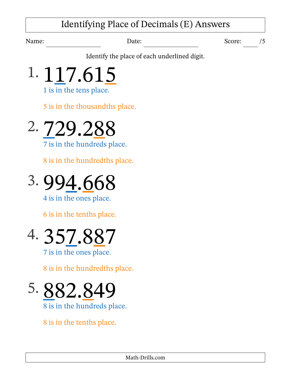### Identifying Place of Decimals (E) Answers

Name: Date: Date: Score: /5

Identify the place of each underlined digit.



5 is in the thousandths place.



7 is in the hundreds place.

8 is in the hundredths place.



4 is in the ones place.

6 is in the tenths place.



8 is in the hundredths place.

5. 882.849 8 is in the hundreds place.

8 is in the tenths place.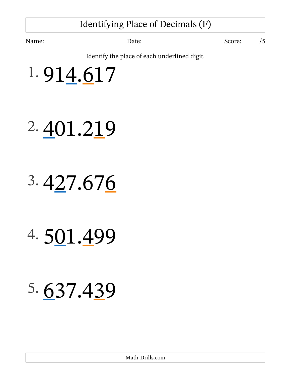### Identifying Place of Decimals (F)

Name: Date: Date: Score: /5

Identify the place of each underlined digit.

1. 914.617

# 2. 401.219

# 3. 427.676

### 4. 501.499

### 5. 637.439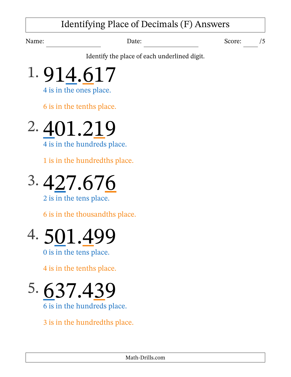### Identifying Place of Decimals (F) Answers

Name: Date: Date: Score: /5

Identify the place of each underlined digit.



4 is in the ones place.

6 is in the tenths place.

2. 401.219 4 is in the hundreds place.

1 is in the hundredths place.

$$
3.\,\underline{427.676}
$$

2 is in the tens place.

6 is in the thousandths place.



0 is in the tens place.

4 is in the tenths place.

5. 637.439 6 is in the hundreds place.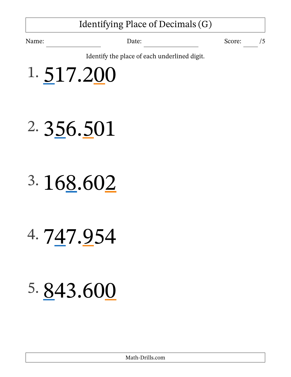### Identifying Place of Decimals (G)

Name: Date: Date: Score: /5

Identify the place of each underlined digit.

1. 517.200

- 2. 356.501
- 3. 168.602
- 4. 747.954
- 5. 843.600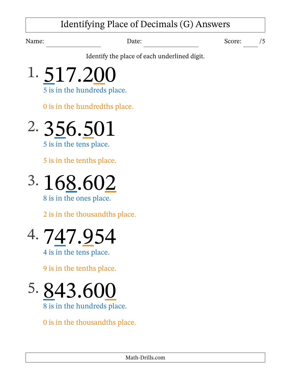### Identifying Place of Decimals (G) Answers

Name: Date: Date: Score: /5

Identify the place of each underlined digit.

1. 517.200 5 is in the hundreds place.

0 is in the hundredths place.



5 is in the tenths place.



8 is in the ones place.

2 is in the thousandths place.



9 is in the tenths place.

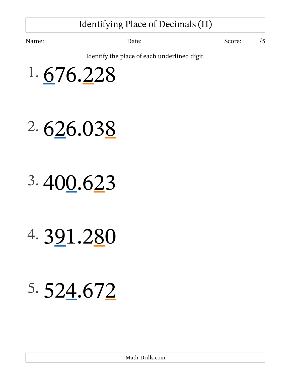### Identifying Place of Decimals (H)

Name: Date: Date: Score: /5

Identify the place of each underlined digit.

1. 676.228

# 2. 626.038

# 3. 400.623

### 4. 391.280

# 5. 524.672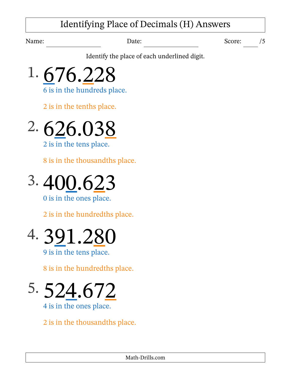### Identifying Place of Decimals (H) Answers

Name: Date: Date: Score: /5

Identify the place of each underlined digit.



2 is in the tenths place.



8 is in the thousandths place.



0 is in the ones place.

2 is in the hundredths place.



9 is in the tens place.

8 is in the hundredths place.

5. 524.672 4 is in the ones place.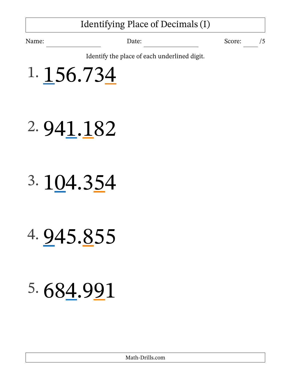### Identifying Place of Decimals (I)

Name: Date: Date: Score: /5

Identify the place of each underlined digit.



- 2. 941.182
- 3. 104.354
- 4. 945.855
- 5. 684.991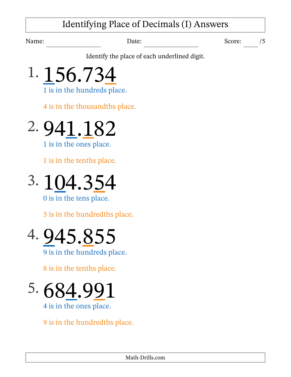### Identifying Place of Decimals (I) Answers

Name: Date: Date: Score: /5

Identify the place of each underlined digit.



4 is in the thousandths place.

2. 941.182

1 is in the ones place.

1 is in the tenths place.



0 is in the tens place.

5 is in the hundredths place.



8 is in the tenths place.

 $5.684.99$ 4 is in the ones place.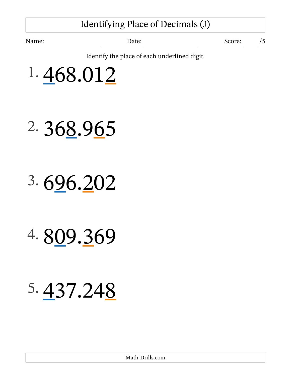### Identifying Place of Decimals (J)

Name: Date: Date: Score: /5

Identify the place of each underlined digit.



- 2. 368.965
- 3. 696.202
- 4. 809.369

### 5. 437.248